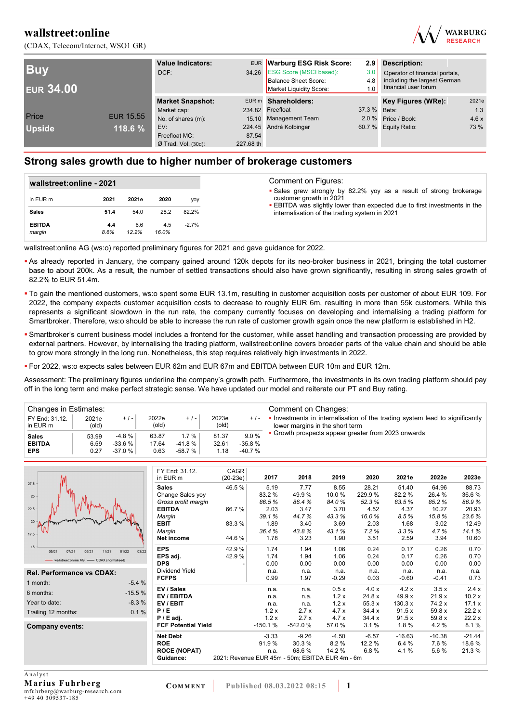



| <b>Buy</b><br><b>EUR 34.00</b> |                  | <b>Value Indicators:</b><br>DCF: |           | EUR Warburg ESG Risk Score:<br>34.26 ESG Score (MSCI based):<br>Balance Sheet Score:<br>Market Liquidity Score: | 2.9<br>3.0<br>4.8<br>1.0 | <b>Description:</b><br>Operator of financial portals,<br>including the largest German<br>financial user forum |       |  |
|--------------------------------|------------------|----------------------------------|-----------|-----------------------------------------------------------------------------------------------------------------|--------------------------|---------------------------------------------------------------------------------------------------------------|-------|--|
|                                |                  | <b>Market Snapshot:</b>          |           | EUR m Shareholders:                                                                                             |                          | Key Figures (WRe):                                                                                            | 2021e |  |
|                                |                  | Market cap:                      |           | 234.82 Freefloat                                                                                                | 37.3 % Beta:             |                                                                                                               | 1.3   |  |
| Price                          | <b>EUR 15.55</b> | No. of shares (m):               |           | 15.10 Management Team                                                                                           |                          | 2.0 % Price / Book:                                                                                           | 4.6x  |  |
| <b>Upside</b>                  | 118.6 %          | EV:                              |           | 224.45 André Kolbinger                                                                                          |                          | 60.7 % Equity Ratio:                                                                                          | 73 %  |  |
|                                |                  | Freefloat MC:                    | 87.54     |                                                                                                                 |                          |                                                                                                               |       |  |
|                                |                  | $Ø$ Trad. Vol. (30d):            | 227.68 th |                                                                                                                 |                          |                                                                                                               |       |  |

### **Strong sales growth due to higher number of brokerage customers**

|                         | wallstreet:online - 2021 |              |              |         |  |  |
|-------------------------|--------------------------|--------------|--------------|---------|--|--|
| in EUR m                | 2021                     | 2021e        | 2020         | yoy     |  |  |
| <b>Sales</b>            | 51.4                     | 54.0         | 28.2         | 82.2%   |  |  |
| <b>EBITDA</b><br>margin | 4.4<br>8.6%              | 6.6<br>12.2% | 4.5<br>16.0% | $-2.7%$ |  |  |

wallstreet:online AG (ws:o) reported preliminary figures for 2021 and gave guidance for 2022.

- As already reported in January, the company gained around 120k depots for its neo-broker business in 2021, bringing the total customer base to about 200k. As a result, the number of settled transactions should also have grown significantly, resulting in strong sales growth of 82.2% to EUR 51.4m.
- To gain the mentioned customers, ws:o spent some EUR 13.1m, resulting in customer acquisition costs per customer of about EUR 109. For 2022, the company expects customer acquisition costs to decrease to roughly EUR 6m, resulting in more than 55k customers. While this represents a significant slowdown in the run rate, the company currently focuses on developing and internalising a trading platform for Smartbroker. Therefore, ws:o should be able to increase the run rate of customer growth again once the new platform is established in H2.
- Smartbroker's current business model includes a frontend for the customer, while asset handling and transaction processing are provided by external partners. However, by internalising the trading platform, wallstreet:online covers broader parts of the value chain and should be able to grow more strongly in the long run. Nonetheless, this step requires relatively high investments in 2022.
- For 2022, ws:o expects sales between EUR 62m and EUR 67m and EBITDA between EUR 10m and EUR 12m.

Assessment: The preliminary figures underline the company's growth path. Furthermore, the investments in its own trading platform should pay off in the long term and make perfect strategic sense. We have updated our model and reiterate our PT and Buy rating.

| Changes in Estimates:      |                |          |                |          |                |          | Comment on Changes:                                                                                             |
|----------------------------|----------------|----------|----------------|----------|----------------|----------|-----------------------------------------------------------------------------------------------------------------|
| FY End: 31.12.<br>in EUR m | 2021e<br>(old) | $+/-$    | 2022e<br>(old) | $+/-$    | 2023e<br>(old) | $+/-$    | • Investments in internalisation of the trading system lead to significantly<br>lower margins in the short term |
| <b>Sales</b>               | 53.99          | $-4.8%$  | 63.87          | 1.7%     | 81.37          | 9.0%     | • Growth prospects appear greater from 2023 onwards                                                             |
| <b>EBITDA</b>              | 6.59           | $-33.6%$ | 17.64          | -41.8 %  | 32.61          | $-35.8%$ |                                                                                                                 |
| <b>EPS</b>                 | 0.27           | $-37.0%$ | 0.63           | $-58.7%$ | 1.18           | $-40.7%$ |                                                                                                                 |

|                                                          | FY End: 31.12.             | <b>CAGR</b> |           |                                                 |         |         |          |          |          |
|----------------------------------------------------------|----------------------------|-------------|-----------|-------------------------------------------------|---------|---------|----------|----------|----------|
|                                                          | in EUR m                   | $(20-23e)$  | 2017      | 2018                                            | 2019    | 2020    | 2021e    | 2022e    | 2023e    |
| 27.5                                                     | <b>Sales</b>               | 46.5%       | 5.19      | 7.77                                            | 8.55    | 28.21   | 51.40    | 64.96    | 88.73    |
| 25                                                       | Change Sales yoy           |             | 83.2%     | 49.9%                                           | 10.0%   | 229.9%  | 82.2%    | 26.4 %   | 36.6%    |
|                                                          | Gross profit margin        |             | 86.5%     | 86.4%                                           | 84.0%   | 52.3%   | 83.5%    | 85.2%    | 86.9%    |
| 22.5                                                     | <b>EBITDA</b>              | 66.7%       | 2.03      | 3.47                                            | 3.70    | 4.52    | 4.37     | 10.27    | 20.93    |
|                                                          | Margin                     |             | 39.1%     | 44.7%                                           | 43.3%   | 16.0%   | 8.5%     | 15.8%    | 23.6%    |
| 20                                                       | <b>EBIT</b>                | 83.3%       | 1.89      | 3.40                                            | 3.69    | 2.03    | 1.68     | 3.02     | 12.49    |
| 17.5                                                     | Margin                     |             | 36.4%     | 43.8%                                           | 43.1%   | 7.2%    | 3.3%     | 4.7%     | 14.1%    |
|                                                          | Net income                 | 44.6%       | 1.78      | 3.23                                            | 1.90    | 3.51    | 2.59     | 3.94     | 10.60    |
| 15<br>03/22<br>05/21<br>07/21<br>09/21<br>01/22<br>11/21 | <b>EPS</b>                 | 42.9%       | 1.74      | 1.94                                            | 1.06    | 0.24    | 0.17     | 0.26     | 0.70     |
| - wallstreet:online AG - CDAX (normalised)               | EPS adj.                   | 42.9%       | 1.74      | 1.94                                            | 1.06    | 0.24    | 0.17     | 0.26     | 0.70     |
|                                                          | <b>DPS</b>                 |             | 0.00      | 0.00                                            | 0.00    | 0.00    | 0.00     | 0.00     | 0.00     |
| Rel. Performance vs CDAX:                                | <b>Dividend Yield</b>      |             | n.a.      | n.a.                                            | n.a.    | n.a.    | n.a.     | n.a.     | n.a.     |
| $-5.4%$<br>1 month:                                      | <b>FCFPS</b>               |             | 0.99      | 1.97                                            | $-0.29$ | 0.03    | $-0.60$  | $-0.41$  | 0.73     |
| $-15.5%$<br>6 months:                                    | EV / Sales                 |             | n.a.      | n.a.                                            | 0.5x    | 4.0 x   | 4.2x     | 3.5x     | 2.4x     |
|                                                          | EV / EBITDA                |             | n.a.      | n.a.                                            | 1.2x    | 24.8 x  | 49.9x    | 21.9x    | 10.2x    |
| $-8.3%$<br>Year to date:                                 | EV / EBIT                  |             | n.a.      | n.a.                                            | 1.2x    | 55.3 x  | 130.3 x  | 74.2 x   | 17.1 x   |
| 0.1%<br>Trailing 12 months:                              | P/E                        |             | 1.2x      | 2.7x                                            | 4.7x    | 34.4x   | 91.5x    | 59.8 x   | 22.2x    |
|                                                          | $P / E$ adj.               |             | 1.2x      | 2.7x                                            | 4.7x    | 34.4x   | 91.5x    | 59.8 x   | 22.2x    |
| Company events:                                          | <b>FCF Potential Yield</b> |             | $-150.1%$ | $-542.0%$                                       | 57.0 %  | 3.1%    | 1.8%     | 4.2%     | 8.1%     |
|                                                          | <b>Net Debt</b>            |             | $-3.33$   | $-9.26$                                         | $-4.50$ | $-6.57$ | $-16.63$ | $-10.38$ | $-21.44$ |
|                                                          | <b>ROE</b>                 |             | 91.9%     | 30.3%                                           | 8.2%    | 12.2 %  | 6.4%     | 7.6%     | 18.6%    |
|                                                          | <b>ROCE (NOPAT)</b>        |             | n.a.      | 68.6%                                           | 14.2 %  | 6.8%    | 4.1%     | 5.6%     | 21.3%    |
|                                                          | Guidance:                  |             |           | 2021: Revenue EUR 45m - 50m; EBITDA EUR 4m - 6m |         |         |          |          |          |
|                                                          |                            |             |           |                                                 |         |         |          |          |          |

A n a l y s t **Marius Fuhrberg**  mfuhrberg@warburg-research.com +49 40 309537-185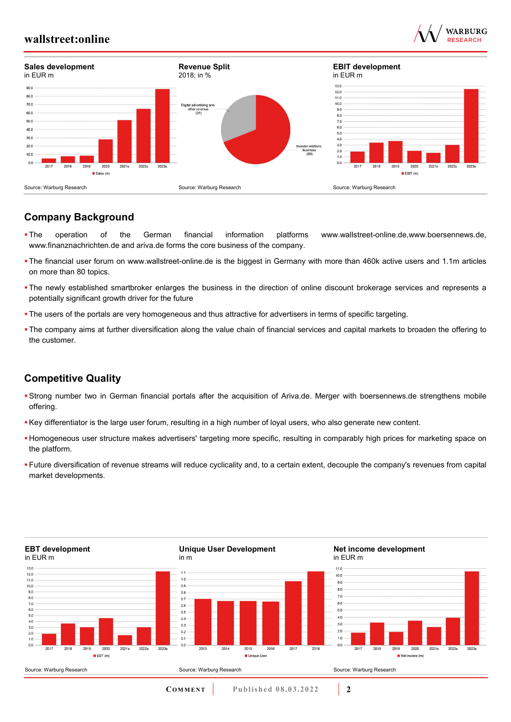



## **Company Background**

- The operation of the German financial information platforms www.wallstreet-online.de,www.boersennews.de, www.finanznachrichten.de and ariva.de forms the core business of the company.
- The financial user forum on www.wallstreet-online.de is the biggest in Germany with more than 460k active users and 1.1m articles on more than 80 topics.
- The newly established smartbroker enlarges the business in the direction of online discount brokerage services and represents a potentially significant growth driver for the future
- The users of the portals are very homogeneous and thus attractive for advertisers in terms of specific targeting.
- The company aims at further diversification along the value chain of financial services and capital markets to broaden the offering to the customer.

### **Competitive Quality**

- Strong number two in German financial portals after the acquisition of Ariva.de. Merger with boersennews.de strengthens mobile offering.
- Key differentiator is the large user forum, resulting in a high number of loyal users, who also generate new content.
- Homogeneous user structure makes advertisers' targeting more specific, resulting in comparably high prices for marketing space on the platform.
- Future diversification of revenue streams will reduce cyclicality and, to a certain extent, decouple the company's revenues from capital market developments.

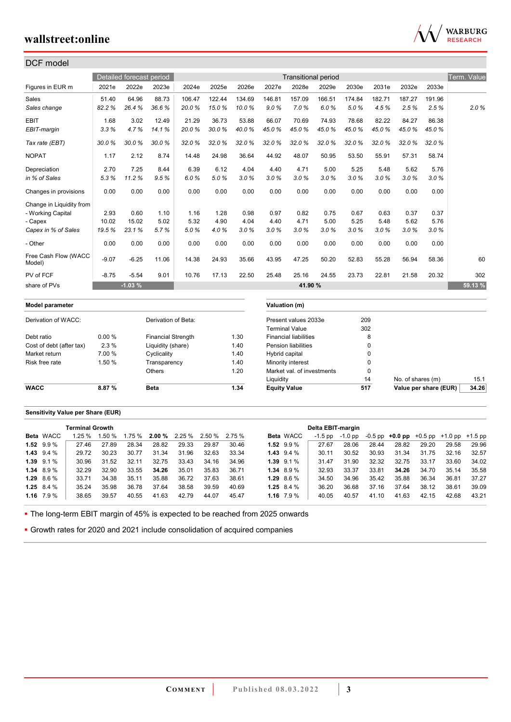

| DCF model                      |         |                          |                           |        |        |        |                |                              |        |        |          |        |        |             |
|--------------------------------|---------|--------------------------|---------------------------|--------|--------|--------|----------------|------------------------------|--------|--------|----------|--------|--------|-------------|
|                                |         | Detailed forecast period |                           |        |        |        |                | <b>Transitional period</b>   |        |        |          |        |        | Term. Value |
| Figures in EUR m               | 2021e   | 2022e                    | 2023e                     | 2024e  | 2025e  | 2026e  | 2027e          | 2028e                        | 2029e  | 2030e  | 2031e    | 2032e  | 2033e  |             |
| Sales                          | 51.40   | 64.96                    | 88.73                     | 106.47 | 122.44 | 134.69 | 146.81         | 157.09                       | 166.51 | 174.84 | 182.71   | 187.27 | 191.96 |             |
| Sales change                   | 82.2%   | 26.4%                    | 36.6%                     | 20.0%  | 15.0%  | 10.0%  | 9.0%           | 7.0%                         | 6.0%   | 5.0%   | 4.5%     | 2.5%   | 2.5%   | 2.0%        |
| <b>EBIT</b>                    | 1.68    | 3.02                     | 12.49                     | 21.29  | 36.73  | 53.88  | 66.07          | 70.69                        | 74.93  | 78.68  | 82.22    | 84.27  | 86.38  |             |
| EBIT-margin                    | 3.3%    | 4.7%                     | 14.1%                     | 20.0%  | 30.0%  | 40.0%  | 45.0%          | 45.0%                        | 45.0%  | 45.0%  | 45.0%    | 45.0%  | 45.0%  |             |
| Tax rate (EBT)                 | 30.0%   | 30.0%                    | 30.0%                     | 32.0%  | 32.0%  | 32.0%  | 32.0%          | 32.0%                        | 32.0%  | 32.0%  | 32.0%    | 32.0%  | 32.0%  |             |
| <b>NOPAT</b>                   | 1.17    | 2.12                     | 8.74                      | 14.48  | 24.98  | 36.64  | 44.92          | 48.07                        | 50.95  | 53.50  | 55.91    | 57.31  | 58.74  |             |
| Depreciation                   | 2.70    | 7.25                     | 8.44                      | 6.39   | 6.12   | 4.04   | 4.40           | 4.71                         | 5.00   | 5.25   | 5.48     | 5.62   | 5.76   |             |
| in % of Sales                  | 5.3%    | 11.2%                    | 9.5%                      | 6.0%   | 5.0%   | 3.0%   | 3.0%           | 3.0%                         | 3.0%   | 3.0%   | 3.0%     | 3.0%   | 3.0%   |             |
| Changes in provisions          | 0.00    | 0.00                     | 0.00                      | 0.00   | 0.00   | 0.00   | 0.00           | 0.00                         | 0.00   | 0.00   | 0.00     | 0.00   | 0.00   |             |
| Change in Liquidity from       |         |                          |                           |        |        |        |                |                              |        |        |          |        |        |             |
| - Working Capital              | 2.93    | 0.60                     | 1.10                      | 1.16   | 1.28   | 0.98   | 0.97           | 0.82                         | 0.75   | 0.67   | 0.63     | 0.37   | 0.37   |             |
| - Capex                        | 10.02   | 15.02                    | 5.02                      | 5.32   | 4.90   | 4.04   | 4.40           | 4.71                         | 5.00   | 5.25   | 5.48     | 5.62   | 5.76   |             |
| Capex in % of Sales            | 19.5%   | 23.1%                    | 5.7%                      | 5.0%   | 4.0%   | 3.0%   | 3.0%           | 3.0%                         | 3.0%   | 3.0%   | 3.0%     | 3.0%   | 3.0%   |             |
| - Other                        | 0.00    | 0.00                     | 0.00                      | 0.00   | 0.00   | 0.00   | 0.00           | 0.00                         | 0.00   | 0.00   | 0.00     | 0.00   | 0.00   |             |
| Free Cash Flow (WACC<br>Model) | $-9.07$ | $-6.25$                  | 11.06                     | 14.38  | 24.93  | 35.66  | 43.95          | 47.25                        | 50.20  | 52.83  | 55.28    | 56.94  | 58.36  | 60          |
| PV of FCF                      | $-8.75$ | $-5.54$                  | 9.01                      | 10.76  | 17.13  | 22.50  | 25.48          | 25.16                        | 24.55  | 23.73  | 22.81    | 21.58  | 20.32  | 302         |
| share of PVs                   |         | $-1.03%$                 |                           |        |        |        |                | 41.90 %                      |        |        |          |        |        | 59.13 %     |
| <b>Model parameter</b>         |         |                          |                           |        |        |        |                | Valuation (m)                |        |        |          |        |        |             |
| Derivation of WACC:            |         |                          | Derivation of Beta:       |        |        |        |                | Present values 2033e         |        | 209    |          |        |        |             |
|                                |         |                          |                           |        |        |        |                | <b>Terminal Value</b>        |        | 302    |          |        |        |             |
| Debt ratio                     | 0.00%   |                          | <b>Financial Strength</b> |        | 1.30   |        |                | <b>Financial liabilities</b> |        |        | 8        |        |        |             |
| Cost of debt (after tax)       | 2.3%    |                          | Liquidity (share)         |        |        | 1.40   |                | Pension liabilities          |        |        | 0        |        |        |             |
| Market return                  | 7.00 %  |                          | Cyclicality               |        |        | 1.40   | Hybrid capital |                              |        | 0      |          |        |        |             |
| Risk free rate                 | 1.50 %  |                          | Transparency              |        |        | 1.40   |                | Minority interest            |        |        | 0        |        |        |             |
|                                |         |                          | Others                    |        |        | 1.20   |                | Market val. of investments   |        |        | $\Omega$ |        |        |             |

### **Sensitivity Value per Share (EUR)**

|                  | <b>Terminal Growth</b> |        |       |       |                                      |       |       |                |                  | Delta EBIT-margin |         |       |                                                   |       |       |       |
|------------------|------------------------|--------|-------|-------|--------------------------------------|-------|-------|----------------|------------------|-------------------|---------|-------|---------------------------------------------------|-------|-------|-------|
| <b>Beta WACC</b> | $1.25 \%$              | 1.50 % |       |       | $1.75\%$ 2.00 % 2.25 % 2.50 % 2.75 % |       |       |                | <b>Beta WACC</b> | -1.5 pp           | -1.0 pp |       | $-0.5$ pp $+0.0$ pp $+0.5$ pp $+1.0$ pp $+1.5$ pp |       |       |       |
| $1.52$ 9.9 %     | 27.46                  | 27.89  | 28.34 | 28.82 | 29.33                                | 29.87 | 30.46 | $1.52$ 9.9 %   |                  | 27.67             | 28.06   | 28.44 | 28.82                                             | 29.20 | 29.58 | 29.96 |
| $1.43$ $9.4\%$   | 29.72                  | 30.23  | 30.77 | 31.34 | 31.96                                | 32.63 | 33.34 | 1.43 $9.4\%$   |                  | 30.11             | 30.52   | 30.93 | 31.34                                             | 31.75 | 32.16 | 32.57 |
| $1.39$ $9.1\%$   | 30.96                  | 31.52  | 32.11 | 32.75 | 33.43                                | 34.16 | 34.96 | $1.39$ $9.1\%$ |                  | 31.47             | 31.90   | 32.32 | 32.75                                             | 33.17 | 33.60 | 34.02 |
| $1.34$ 8.9 %     | 32.29                  | 32.90  | 33.55 | 34.26 | 35.01                                | 35.83 | 36.71 | $1.34$ 8.9 %   |                  | 32.93             | 33.37   | 33.81 | 34.26                                             | 34.70 | 35.14 | 35.58 |
| $1.29$ 8.6 %     | 33.71                  | 34.38  | 35.11 | 35.88 | 36.72                                | 37.63 | 38.61 | $1.29$ 8.6 %   |                  | 34.50             | 34.96   | 35.42 | 35.88                                             | 36.34 | 36.81 | 37.27 |
| 1.25 $8.4\%$     | 35.24                  | 35.98  | 36.78 | 37.64 | 38.58                                | 39.59 | 40.69 | 1.25 $8.4\%$   |                  | 36.20             | 36.68   | 37.16 | 37.64                                             | 38.12 | 38.61 | 39.09 |
| $1.16$ $7.9\%$   | 38.65                  | 39.57  | 40.55 | 41.63 | 42.79                                | 44.07 | 45.47 | 1.16 $7.9\%$   |                  | 40.05             | 40.57   | 41.10 | 41.63                                             | 42.15 | 42.68 | 43.21 |

**WACC 8.87 % Beta 1.34 Equity Value 517 Value per share (EUR) 34.26**

Liquidity 14 No. of shares (m) 15.1

The long-term EBIT margin of 45% is expected to be reached from 2025 onwards

Growth rates for 2020 and 2021 include consolidation of acquired companies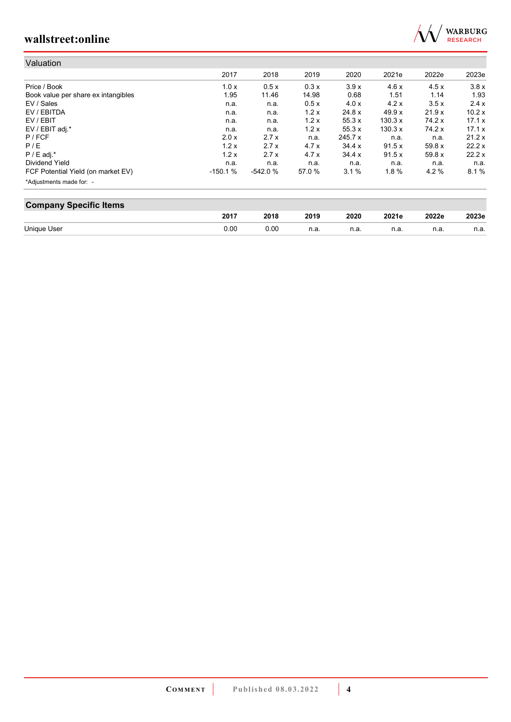

| Valuation                           |           |           |        |                |          |       |        |
|-------------------------------------|-----------|-----------|--------|----------------|----------|-------|--------|
|                                     | 2017      | 2018      | 2019   | 2020           | 2021e    | 2022e | 2023e  |
| Price / Book                        | 1.0x      | 0.5x      | 0.3x   | 3.9x           | 4.6x     | 4.5x  | 3.8x   |
| Book value per share ex intangibles | 1.95      | 11.46     | 14.98  | 0.68           | 1.51     | 1.14  | 1.93   |
| EV / Sales                          | n.a.      | n.a.      | 0.5x   | 4.0 x          | 4.2x     | 3.5x  | 2.4x   |
| EV / EBITDA                         | n.a.      | n.a.      | 1.2x   | 24.8 x         | 49.9 x   | 21.9x | 10.2x  |
| EV / EBIT                           | n.a.      | n.a.      | 1.2x   | 55.3x          | 130.3 x  | 74.2x | 17.1 x |
| EV / EBIT adj.*                     | n.a.      | n.a.      | 1.2x   | 55.3x          | 130.3 x  | 74.2x | 17.1 x |
| P / FCF                             | 2.0 x     | 2.7x      | n.a.   | $245.7 \times$ | n.a.     | n.a.  | 21.2x  |
| P/E                                 | 1.2x      | 2.7x      | 4.7x   | 34.4 x         | 91.5x    | 59.8x | 22.2x  |
| $P / E$ adj.*                       | 1.2x      | 2.7x      | 4.7x   | 34.4 x         | 91.5x    | 59.8x | 22.2x  |
| Dividend Yield                      | n.a.      | n.a.      | n.a.   | n.a.           | n.a.     | n.a.  | n.a.   |
| FCF Potential Yield (on market EV)  | $-150.1%$ | $-542.0%$ | 57.0 % | 3.1%           | $1.8 \%$ | 4.2%  | 8.1%   |
| *Adjustments made for: -            |           |           |        |                |          |       |        |

| <b>Company Specific Items</b> |      |      |      |      |       |       |       |  |  |  |
|-------------------------------|------|------|------|------|-------|-------|-------|--|--|--|
|                               | 2017 | 2018 | 2019 | 2020 | 2021e | 2022e | 2023e |  |  |  |
| Unique User                   | 0.00 | 0.00 | n.a. | n.a. | n.a   | n.a.  | n.a.  |  |  |  |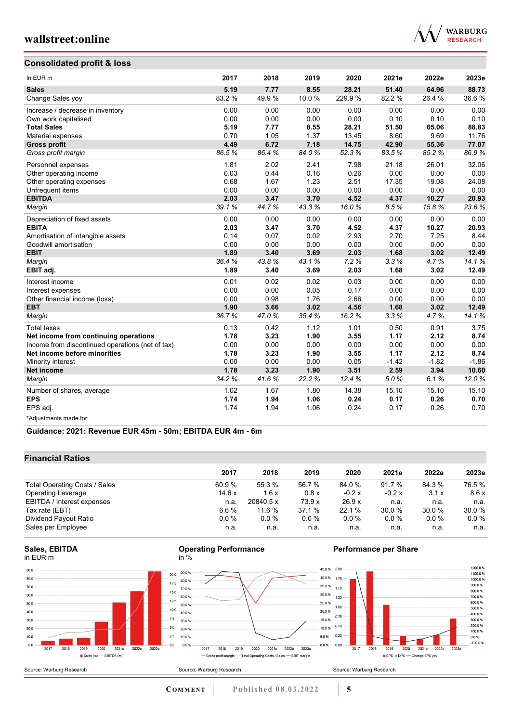### **Consolidated profit & loss**



| In EUR <sub>m</sub>                              | 2017   | 2018  | 2019  | 2020   | 2021e   | 2022e   | 2023e   |
|--------------------------------------------------|--------|-------|-------|--------|---------|---------|---------|
| <b>Sales</b>                                     | 5.19   | 7.77  | 8.55  | 28.21  | 51.40   | 64.96   | 88.73   |
| Change Sales yoy                                 | 83.2 % | 49.9% | 10.0% | 229.9% | 82.2 %  | 26.4%   | 36.6%   |
| Increase / decrease in inventory                 | 0.00   | 0.00  | 0.00  | 0.00   | 0.00    | 0.00    | 0.00    |
| Own work capitalised                             | 0.00   | 0.00  | 0.00  | 0.00   | 0.10    | 0.10    | 0.10    |
| <b>Total Sales</b>                               | 5.19   | 7.77  | 8.55  | 28.21  | 51.50   | 65.06   | 88.83   |
| Material expenses                                | 0.70   | 1.05  | 1.37  | 13.45  | 8.60    | 9.69    | 11.76   |
| <b>Gross profit</b>                              | 4.49   | 6.72  | 7.18  | 14.75  | 42.90   | 55.36   | 77.07   |
| Gross profit margin                              | 86.5%  | 86.4% | 84.0% | 52.3%  | 83.5%   | 85.2%   | 86.9%   |
| Personnel expenses                               | 1.81   | 2.02  | 2.41  | 7.98   | 21.18   | 26.01   | 32.06   |
| Other operating income                           | 0.03   | 0.44  | 0.16  | 0.26   | 0.00    | 0.00    | 0.00    |
| Other operating expenses                         | 0.68   | 1.67  | 1.23  | 2.51   | 17.35   | 19.08   | 24.08   |
| Unfrequent items                                 | 0.00   | 0.00  | 0.00  | 0.00   | 0.00    | 0.00    | 0.00    |
| <b>EBITDA</b>                                    | 2.03   | 3.47  | 3.70  | 4.52   | 4.37    | 10.27   | 20.93   |
| Margin                                           | 39.1%  | 44.7% | 43.3% | 16.0%  | 8.5%    | 15.8%   | 23.6%   |
| Depreciation of fixed assets                     | 0.00   | 0.00  | 0.00  | 0.00   | 0.00    | 0.00    | 0.00    |
| <b>EBITA</b>                                     | 2.03   | 3.47  | 3.70  | 4.52   | 4.37    | 10.27   | 20.93   |
| Amortisation of intangible assets                | 0.14   | 0.07  | 0.02  | 2.93   | 2.70    | 7.25    | 8.44    |
| Goodwill amortisation                            | 0.00   | 0.00  | 0.00  | 0.00   | 0.00    | 0.00    | 0.00    |
| <b>EBIT</b>                                      | 1.89   | 3.40  | 3.69  | 2.03   | 1.68    | 3.02    | 12.49   |
| Margin                                           | 36.4%  | 43.8% | 43.1% | 7.2%   | 3.3%    | 4.7%    | 14.1%   |
| EBIT adj.                                        | 1.89   | 3.40  | 3.69  | 2.03   | 1.68    | 3.02    | 12.49   |
| Interest income                                  | 0.01   | 0.02  | 0.02  | 0.03   | 0.00    | 0.00    | 0.00    |
| Interest expenses                                | 0.00   | 0.00  | 0.05  | 0.17   | 0.00    | 0.00    | 0.00    |
| Other financial income (loss)                    | 0.00   | 0.98  | 1.76  | 2.66   | 0.00    | 0.00    | 0.00    |
| <b>EBT</b>                                       | 1.90   | 3.66  | 3.02  | 4.56   | 1.68    | 3.02    | 12.49   |
| Margin                                           | 36.7%  | 47.0% | 35.4% | 16.2%  | 3.3%    | 4.7%    | 14.1%   |
| <b>Total taxes</b>                               | 0.13   | 0.42  | 1.12  | 1.01   | 0.50    | 0.91    | 3.75    |
| Net income from continuing operations            | 1.78   | 3.23  | 1.90  | 3.55   | 1.17    | 2.12    | 8.74    |
| Income from discontinued operations (net of tax) | 0.00   | 0.00  | 0.00  | 0.00   | 0.00    | 0.00    | 0.00    |
| Net income before minorities                     | 1.78   | 3.23  | 1.90  | 3.55   | 1.17    | 2.12    | 8.74    |
| Minority interest                                | 0.00   | 0.00  | 0.00  | 0.05   | $-1.42$ | $-1.82$ | $-1.86$ |
| <b>Net income</b>                                | 1.78   | 3.23  | 1.90  | 3.51   | 2.59    | 3.94    | 10.60   |
| Margin                                           | 34.2%  | 41.6% | 22.2% | 12.4%  | 5.0%    | 6.1%    | 12.0%   |
| Number of shares, average                        | 1.02   | 1.67  | 1.80  | 14.38  | 15.10   | 15.10   | 15.10   |
| <b>EPS</b>                                       | 1.74   | 1.94  | 1.06  | 0.24   | 0.17    | 0.26    | 0.70    |
| EPS adj.                                         | 1.74   | 1.94  | 1.06  | 0.24   | 0.17    | 0.26    | 0.70    |
| *Adjustments made for:                           |        |       |       |        |         |         |         |

**Guidance: 2021: Revenue EUR 45m - 50m; EBITDA EUR 4m - 6m**

### **Financial Ratios**

| 2017                                   | 2018         | 2019     | 2020    | 2021e    | 2022e   | 2023e   |
|----------------------------------------|--------------|----------|---------|----------|---------|---------|
| 60.9%<br>Total Operating Costs / Sales | 55.3 %       | 56.7 %   | 84.0%   | 91.7 %   | 84.3%   | 76.5 %  |
| 14.6x<br><b>Operating Leverage</b>     | 1.6x         | 0.8x     | $-0.2x$ | $-0.2 x$ | 3.1x    | 8.6x    |
| EBITDA / Interest expenses<br>n.a.     | 20840.5 x    | 73.9x    | 26.9x   | n.a.     | n.a.    | n.a.    |
| 6.6%<br>Tax rate (EBT)                 | 11.6 %       | 37.1 %   | 22.1 %  | 30.0 %   | 30.0%   | 30.0 %  |
| $0.0\%$<br>Dividend Payout Ratio       | $0.0\%$      | $0.0 \%$ | 0.0%    | $0.0\%$  | $0.0\%$ | $0.0\%$ |
| Sales per Employee                     | n.a.<br>n.a. | n.a.     | n.a.    | n.a.     | n.a.    | n.a.    |





### **Performance per Share**



**Operating Performance**

50%

 $0.0%$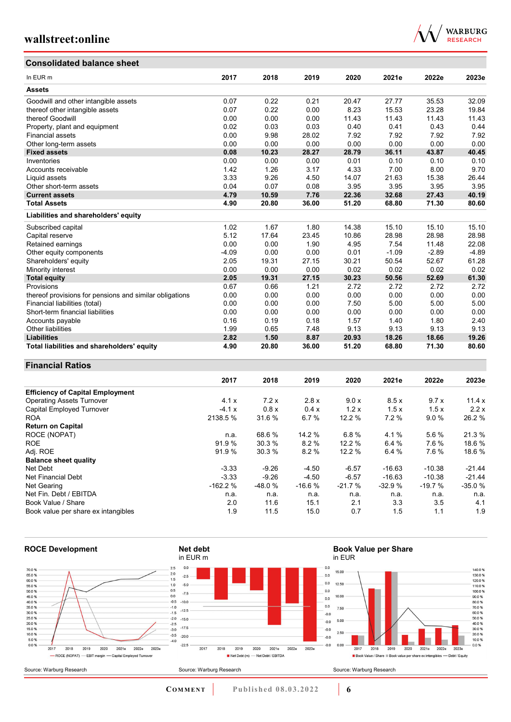



| Consolidated balance sheet                              |         |       |       |       |         |         |         |
|---------------------------------------------------------|---------|-------|-------|-------|---------|---------|---------|
| In EUR m                                                | 2017    | 2018  | 2019  | 2020  | 2021e   | 2022e   | 2023e   |
| <b>Assets</b>                                           |         |       |       |       |         |         |         |
| Goodwill and other intangible assets                    | 0.07    | 0.22  | 0.21  | 20.47 | 27.77   | 35.53   | 32.09   |
| thereof other intangible assets                         | 0.07    | 0.22  | 0.00  | 8.23  | 15.53   | 23.28   | 19.84   |
| thereof Goodwill                                        | 0.00    | 0.00  | 0.00  | 11.43 | 11.43   | 11.43   | 11.43   |
| Property, plant and equipment                           | 0.02    | 0.03  | 0.03  | 0.40  | 0.41    | 0.43    | 0.44    |
| <b>Financial assets</b>                                 | 0.00    | 9.98  | 28.02 | 7.92  | 7.92    | 7.92    | 7.92    |
| Other long-term assets                                  | 0.00    | 0.00  | 0.00  | 0.00  | 0.00    | 0.00    | 0.00    |
| <b>Fixed assets</b>                                     | 0.08    | 10.23 | 28.27 | 28.79 | 36.11   | 43.87   | 40.45   |
| Inventories                                             | 0.00    | 0.00  | 0.00  | 0.01  | 0.10    | 0.10    | 0.10    |
| Accounts receivable                                     | 1.42    | 1.26  | 3.17  | 4.33  | 7.00    | 8.00    | 9.70    |
| Liquid assets                                           | 3.33    | 9.26  | 4.50  | 14.07 | 21.63   | 15.38   | 26.44   |
| Other short-term assets                                 | 0.04    | 0.07  | 0.08  | 3.95  | 3.95    | 3.95    | 3.95    |
| <b>Current assets</b>                                   | 4.79    | 10.59 | 7.76  | 22.36 | 32.68   | 27.43   | 40.19   |
| <b>Total Assets</b>                                     | 4.90    | 20.80 | 36.00 | 51.20 | 68.80   | 71.30   | 80.60   |
| Liabilities and shareholders' equity                    |         |       |       |       |         |         |         |
| Subscribed capital                                      | 1.02    | 1.67  | 1.80  | 14.38 | 15.10   | 15.10   | 15.10   |
| Capital reserve                                         | 5.12    | 17.64 | 23.45 | 10.86 | 28.98   | 28.98   | 28.98   |
| Retained earnings                                       | 0.00    | 0.00  | 1.90  | 4.95  | 7.54    | 11.48   | 22.08   |
| Other equity components                                 | $-4.09$ | 0.00  | 0.00  | 0.01  | $-1.09$ | $-2.89$ | $-4.89$ |
| Shareholders' equity                                    | 2.05    | 19.31 | 27.15 | 30.21 | 50.54   | 52.67   | 61.28   |
| Minority interest                                       | 0.00    | 0.00  | 0.00  | 0.02  | 0.02    | 0.02    | 0.02    |
| <b>Total equity</b>                                     | 2.05    | 19.31 | 27.15 | 30.23 | 50.56   | 52.69   | 61.30   |
| Provisions                                              | 0.67    | 0.66  | 1.21  | 2.72  | 2.72    | 2.72    | 2.72    |
| thereof provisions for pensions and similar obligations | 0.00    | 0.00  | 0.00  | 0.00  | 0.00    | 0.00    | 0.00    |
| Financial liabilities (total)                           | 0.00    | 0.00  | 0.00  | 7.50  | 5.00    | 5.00    | 5.00    |
| Short-term financial liabilities                        | 0.00    | 0.00  | 0.00  | 0.00  | 0.00    | 0.00    | 0.00    |
| Accounts payable                                        | 0.16    | 0.19  | 0.18  | 1.57  | 1.40    | 1.80    | 2.40    |
| <b>Other liabilities</b>                                | 1.99    | 0.65  | 7.48  | 9.13  | 9.13    | 9.13    | 9.13    |
| <b>Liabilities</b>                                      | 2.82    | 1.50  | 8.87  | 20.93 | 18.26   | 18.66   | 19.26   |
| Total liabilities and shareholders' equity              | 4.90    | 20.80 | 36.00 | 51.20 | 68.80   | 71.30   | 80.60   |

### **Financial Ratios**

|                                         | 2017      | 2018     | 2019     | 2020     | 2021e    | 2022e    | 2023e    |
|-----------------------------------------|-----------|----------|----------|----------|----------|----------|----------|
| <b>Efficiency of Capital Employment</b> |           |          |          |          |          |          |          |
| <b>Operating Assets Turnover</b>        | 4.1x      | 7.2x     | 2.8x     | 9.0 x    | 8.5x     | 9.7x     | 11.4x    |
| Capital Employed Turnover               | $-4.1x$   | 0.8x     | 0.4x     | 1.2x     | 1.5x     | 1.5x     | 2.2x     |
| <b>ROA</b>                              | 2138.5 %  | 31.6 %   | 6.7%     | 12.2 %   | 7.2%     | 9.0%     | 26.2 %   |
| <b>Return on Capital</b>                |           |          |          |          |          |          |          |
| ROCE (NOPAT)                            | n.a.      | 68.6 %   | 14.2 %   | 6.8%     | 4.1%     | 5.6%     | 21.3 %   |
| <b>ROE</b>                              | 91.9%     | 30.3 %   | 8.2%     | 12.2 %   | 6.4 %    | 7.6%     | 18.6 %   |
| Adj. ROE                                | 91.9 %    | 30.3%    | 8.2%     | 12.2%    | 6.4%     | 7.6%     | 18.6 %   |
| <b>Balance sheet quality</b>            |           |          |          |          |          |          |          |
| Net Debt                                | $-3.33$   | $-9.26$  | $-4.50$  | $-6.57$  | $-16.63$ | $-10.38$ | $-21.44$ |
| Net Financial Debt                      | $-3.33$   | $-9.26$  | $-4.50$  | $-6.57$  | $-16.63$ | $-10.38$ | $-21.44$ |
| Net Gearing                             | $-162.2%$ | $-48.0%$ | $-16.6%$ | $-21.7%$ | $-32.9%$ | $-19.7%$ | $-35.0%$ |
| Net Fin. Debt / EBITDA                  | n.a.      | n.a.     | n.a.     | n.a.     | n.a.     | n.a.     | n.a.     |
| Book Value / Share                      | 2.0       | 11.6     | 15.1     | 2.1      | 3.3      | 3.5      | 4.1      |
| Book value per share ex intangibles     | 1.9       | 11.5     | 15.0     | 0.7      | 1.5      | 1.1      | 1.9      |



**COMMENT** Published 08.03.2022 **6**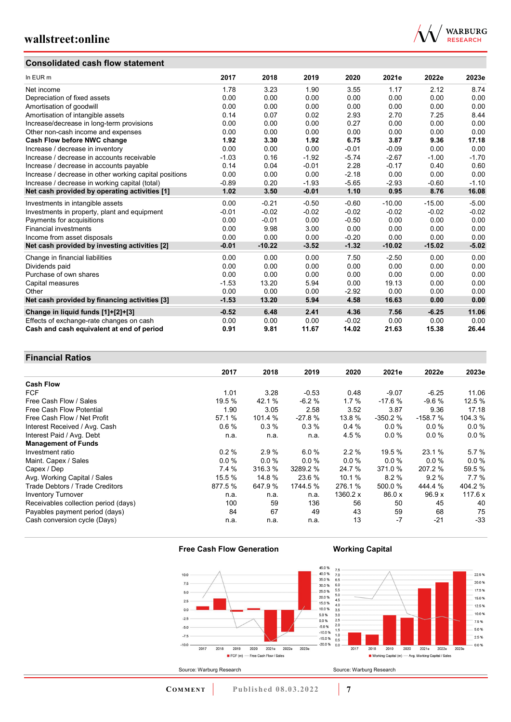### **Consolidated cash flow statement**



| In EUR m                                               | 2017    | 2018     | 2019    | 2020    | 2021e    | 2022e    | 2023e   |
|--------------------------------------------------------|---------|----------|---------|---------|----------|----------|---------|
| Net income                                             | 1.78    | 3.23     | 1.90    | 3.55    | 1.17     | 2.12     | 8.74    |
| Depreciation of fixed assets                           | 0.00    | 0.00     | 0.00    | 0.00    | 0.00     | 0.00     | 0.00    |
| Amortisation of goodwill                               | 0.00    | 0.00     | 0.00    | 0.00    | 0.00     | 0.00     | 0.00    |
| Amortisation of intangible assets                      | 0.14    | 0.07     | 0.02    | 2.93    | 2.70     | 7.25     | 8.44    |
| Increase/decrease in long-term provisions              | 0.00    | 0.00     | 0.00    | 0.27    | 0.00     | 0.00     | 0.00    |
| Other non-cash income and expenses                     | 0.00    | 0.00     | 0.00    | 0.00    | 0.00     | 0.00     | 0.00    |
| Cash Flow before NWC change                            | 1.92    | 3.30     | 1.92    | 6.75    | 3.87     | 9.36     | 17.18   |
| Increase / decrease in inventory                       | 0.00    | 0.00     | 0.00    | $-0.01$ | $-0.09$  | 0.00     | 0.00    |
| Increase / decrease in accounts receivable             | $-1.03$ | 0.16     | $-1.92$ | $-5.74$ | $-2.67$  | $-1.00$  | $-1.70$ |
| Increase / decrease in accounts payable                | 0.14    | 0.04     | $-0.01$ | 2.28    | $-0.17$  | 0.40     | 0.60    |
| Increase / decrease in other working capital positions | 0.00    | 0.00     | 0.00    | $-2.18$ | 0.00     | 0.00     | 0.00    |
| Increase / decrease in working capital (total)         | $-0.89$ | 0.20     | $-1.93$ | $-5.65$ | $-2.93$  | $-0.60$  | $-1.10$ |
| Net cash provided by operating activities [1]          | 1.02    | 3.50     | $-0.01$ | 1.10    | 0.95     | 8.76     | 16.08   |
| Investments in intangible assets                       | 0.00    | $-0.21$  | $-0.50$ | $-0.60$ | $-10.00$ | $-15.00$ | $-5.00$ |
| Investments in property, plant and equipment           | $-0.01$ | $-0.02$  | $-0.02$ | $-0.02$ | $-0.02$  | $-0.02$  | $-0.02$ |
| Payments for acquisitions                              | 0.00    | $-0.01$  | 0.00    | $-0.50$ | 0.00     | 0.00     | 0.00    |
| <b>Financial investments</b>                           | 0.00    | 9.98     | 3.00    | 0.00    | 0.00     | 0.00     | 0.00    |
| Income from asset disposals                            | 0.00    | 0.00     | 0.00    | $-0.20$ | 0.00     | 0.00     | 0.00    |
| Net cash provided by investing activities [2]          | $-0.01$ | $-10.22$ | $-3.52$ | $-1.32$ | $-10.02$ | $-15.02$ | $-5.02$ |
| Change in financial liabilities                        | 0.00    | 0.00     | 0.00    | 7.50    | $-2.50$  | 0.00     | 0.00    |
| Dividends paid                                         | 0.00    | 0.00     | 0.00    | 0.00    | 0.00     | 0.00     | 0.00    |
| Purchase of own shares                                 | 0.00    | 0.00     | 0.00    | 0.00    | 0.00     | 0.00     | 0.00    |
| Capital measures                                       | $-1.53$ | 13.20    | 5.94    | 0.00    | 19.13    | 0.00     | 0.00    |
| Other                                                  | 0.00    | 0.00     | 0.00    | $-2.92$ | 0.00     | 0.00     | 0.00    |
| Net cash provided by financing activities [3]          | $-1.53$ | 13.20    | 5.94    | 4.58    | 16.63    | 0.00     | 0.00    |
| Change in liquid funds [1]+[2]+[3]                     | $-0.52$ | 6.48     | 2.41    | 4.36    | 7.56     | $-6.25$  | 11.06   |
| Effects of exchange-rate changes on cash               | 0.00    | 0.00     | 0.00    | $-0.02$ | 0.00     | 0.00     | 0.00    |
| Cash and cash equivalent at end of period              | 0.91    | 9.81     | 11.67   | 14.02   | 21.63    | 15.38    | 26.44   |

### **Financial Ratios**

|                                      | 2017    | 2018     | 2019     | 2020     | 2021e     | 2022e     | 2023e   |
|--------------------------------------|---------|----------|----------|----------|-----------|-----------|---------|
| <b>Cash Flow</b>                     |         |          |          |          |           |           |         |
| <b>FCF</b>                           | 1.01    | 3.28     | $-0.53$  | 0.48     | $-9.07$   | $-6.25$   | 11.06   |
| Free Cash Flow / Sales               | 19.5 %  | 42.1 %   | $-6.2%$  | 1.7%     | $-17.6%$  | $-9.6%$   | 12.5 %  |
| Free Cash Flow Potential             | 1.90    | 3.05     | 2.58     | 3.52     | 3.87      | 9.36      | 17.18   |
| Free Cash Flow / Net Profit          | 57.1 %  | 101.4 %  | $-27.8%$ | 13.8 %   | $-350.2%$ | $-158.7%$ | 104.3 % |
| Interest Received / Avg. Cash        | 0.6%    | 0.3%     | 0.3%     | 0.4%     | $0.0\%$   | 0.0%      | $0.0\%$ |
| Interest Paid / Avg. Debt            | n.a.    | n.a.     | n.a.     | 4.5%     | 0.0%      | $0.0\%$   | $0.0\%$ |
| <b>Management of Funds</b>           |         |          |          |          |           |           |         |
| Investment ratio                     | 0.2%    | 2.9%     | 6.0%     | 2.2%     | 19.5 %    | 23.1 %    | 5.7%    |
| Maint. Capex / Sales                 | 0.0%    | $0.0 \%$ | $0.0\%$  | $0.0\%$  | $0.0\%$   | $0.0\%$   | $0.0\%$ |
| Capex / Dep                          | 7.4 %   | 316.3 %  | 3289.2 % | 24.7 %   | 371.0 %   | 207.2 %   | 59.5 %  |
| Avg. Working Capital / Sales         | 15.5 %  | 14.8 %   | 23.6 %   | 10.1%    | 8.2%      | 9.2%      | $7.7\%$ |
| Trade Debtors / Trade Creditors      | 877.5 % | 647.9 %  | 1744.5 % | 276.1 %  | 500.0 %   | 444.4 %   | 404.2%  |
| <b>Inventory Turnover</b>            | n.a.    | n.a.     | n.a.     | 1360.2 x | 86.0 x    | 96.9x     | 117.6 x |
| Receivables collection period (days) | 100     | 59       | 136      | 56       | 50        | 45        | 40      |
| Payables payment period (days)       | 84      | 67       | 49       | 43       | 59        | 68        | 75      |
| Cash conversion cycle (Days)         | n.a.    | n.a.     | n.a.     | 13       | $-7$      | $-21$     | $-33$   |

### **Free Cash Flow Generation**

Source: Warburg Research

# **Working Capital**



22.5 % 20.0% 17.5 % 15.0 %  $12.5%$  $10.0 %$ 7.5 %  $5.0%$  $25%$  $-0.0%$  $\frac{1}{2017}$  $\frac{1}{2018}$  $2019$  $2020$ 2021e 2022e 2023e ■ Working Capital (m) — Avg. Working Capital / Sales Source: Warburg Research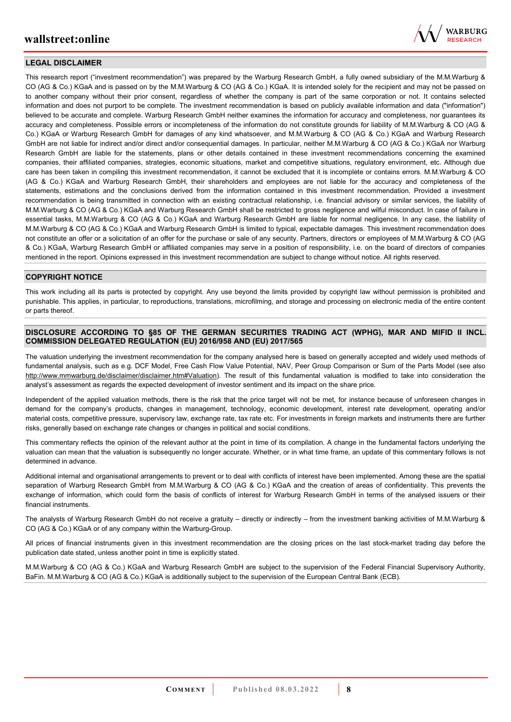

### **LEGAL DISCLAIMER**

This research report ("investment recommendation") was prepared by the Warburg Research GmbH, a fully owned subsidiary of the M.M.Warburg & CO (AG & Co.) KGaA and is passed on by the M.M.Warburg & CO (AG & Co.) KGaA. It is intended solely for the recipient and may not be passed on to another company without their prior consent, regardless of whether the company is part of the same corporation or not. It contains selected information and does not purport to be complete. The investment recommendation is based on publicly available information and data ("information") believed to be accurate and complete. Warburg Research GmbH neither examines the information for accuracy and completeness, nor guarantees its accuracy and completeness. Possible errors or incompleteness of the information do not constitute grounds for liability of M.M.Warburg & CO (AG & Co.) KGaA or Warburg Research GmbH for damages of any kind whatsoever, and M.M.Warburg & CO (AG & Co.) KGaA and Warburg Research GmbH are not liable for indirect and/or direct and/or consequential damages. In particular, neither M.M.Warburg & CO (AG & Co.) KGaA nor Warburg Research GmbH are liable for the statements, plans or other details contained in these investment recommendations concerning the examined companies, their affiliated companies, strategies, economic situations, market and competitive situations, regulatory environment, etc. Although due care has been taken in compiling this investment recommendation, it cannot be excluded that it is incomplete or contains errors. M.M.Warburg & CO (AG & Co.) KGaA and Warburg Research GmbH, their shareholders and employees are not liable for the accuracy and completeness of the statements, estimations and the conclusions derived from the information contained in this investment recommendation. Provided a investment recommendation is being transmitted in connection with an existing contractual relationship, i.e. financial advisory or similar services, the liability of M.M.Warburg & CO (AG & Co.) KGaA and Warburg Research GmbH shall be restricted to gross negligence and wilful misconduct. In case of failure in essential tasks, M.M.Warburg & CO (AG & Co.) KGaA and Warburg Research GmbH are liable for normal negligence. In any case, the liability of M.M.Warburg & CO (AG & Co.) KGaA and Warburg Research GmbH is limited to typical, expectable damages. This investment recommendation does not constitute an offer or a solicitation of an offer for the purchase or sale of any security. Partners, directors or employees of M.M.Warburg & CO (AG & Co.) KGaA, Warburg Research GmbH or affiliated companies may serve in a position of responsibility, i.e. on the board of directors of companies mentioned in the report. Opinions expressed in this investment recommendation are subject to change without notice. All rights reserved.

#### **COPYRIGHT NOTICE**

This work including all its parts is protected by copyright. Any use beyond the limits provided by copyright law without permission is prohibited and punishable. This applies, in particular, to reproductions, translations, microfilming, and storage and processing on electronic media of the entire content or parts thereof.

### **DISCLOSURE ACCORDING TO §85 OF THE GERMAN SECURITIES TRADING ACT (WPHG), MAR AND MIFID II INCL. COMMISSION DELEGATED REGULATION (EU) 2016/958 AND (EU) 2017/565**

The valuation underlying the investment recommendation for the company analysed here is based on generally accepted and widely used methods of fundamental analysis, such as e.g. DCF Model, Free Cash Flow Value Potential, NAV, Peer Group Comparison or Sum of the Parts Model (see also [http://www.mmwarburg.de/disclaimer/disclaimer.htm#Valuation\)](http://www.mmwarburg.de/disclaimer/disclaimer.htm#Valuation). The result of this fundamental valuation is modified to take into consideration the analyst's assessment as regards the expected development of investor sentiment and its impact on the share price.

Independent of the applied valuation methods, there is the risk that the price target will not be met, for instance because of unforeseen changes in demand for the company's products, changes in management, technology, economic development, interest rate development, operating and/or material costs, competitive pressure, supervisory law, exchange rate, tax rate etc. For investments in foreign markets and instruments there are further risks, generally based on exchange rate changes or changes in political and social conditions.

This commentary reflects the opinion of the relevant author at the point in time of its compilation. A change in the fundamental factors underlying the valuation can mean that the valuation is subsequently no longer accurate. Whether, or in what time frame, an update of this commentary follows is not determined in advance.

Additional internal and organisational arrangements to prevent or to deal with conflicts of interest have been implemented. Among these are the spatial separation of Warburg Research GmbH from M.M.Warburg & CO (AG & Co.) KGaA and the creation of areas of confidentiality. This prevents the exchange of information, which could form the basis of conflicts of interest for Warburg Research GmbH in terms of the analysed issuers or their financial instruments.

The analysts of Warburg Research GmbH do not receive a gratuity – directly or indirectly – from the investment banking activities of M.M.Warburg & CO (AG & Co.) KGaA or of any company within the Warburg-Group.

All prices of financial instruments given in this investment recommendation are the closing prices on the last stock-market trading day before the publication date stated, unless another point in time is explicitly stated.

M.M.Warburg & CO (AG & Co.) KGaA and Warburg Research GmbH are subject to the supervision of the Federal Financial Supervisory Authority, BaFin. M.M.Warburg & CO (AG & Co.) KGaA is additionally subject to the supervision of the European Central Bank (ECB).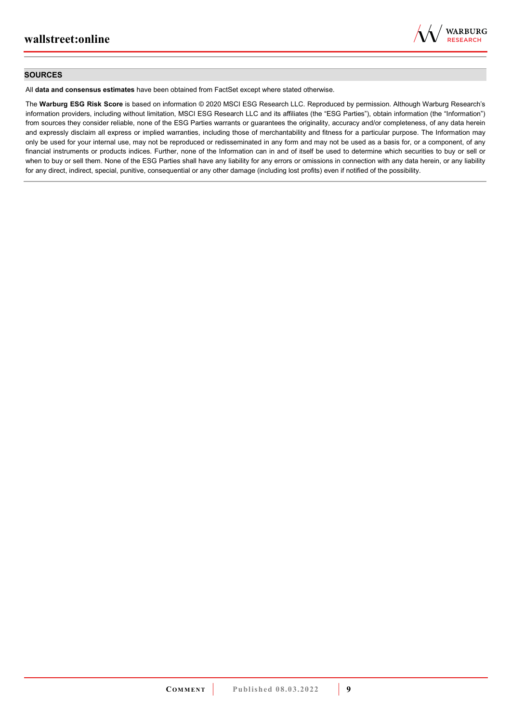

#### **SOURCES**

All **data and consensus estimates** have been obtained from FactSet except where stated otherwise.

The **Warburg ESG Risk Score** is based on information © 2020 MSCI ESG Research LLC. Reproduced by permission. Although Warburg Research's information providers, including without limitation, MSCI ESG Research LLC and its affiliates (the "ESG Parties"), obtain information (the "Information") from sources they consider reliable, none of the ESG Parties warrants or guarantees the originality, accuracy and/or completeness, of any data herein and expressly disclaim all express or implied warranties, including those of merchantability and fitness for a particular purpose. The Information may only be used for your internal use, may not be reproduced or redisseminated in any form and may not be used as a basis for, or a component, of any financial instruments or products indices. Further, none of the Information can in and of itself be used to determine which securities to buy or sell or when to buy or sell them. None of the ESG Parties shall have any liability for any errors or omissions in connection with any data herein, or any liability for any direct, indirect, special, punitive, consequential or any other damage (including lost profits) even if notified of the possibility.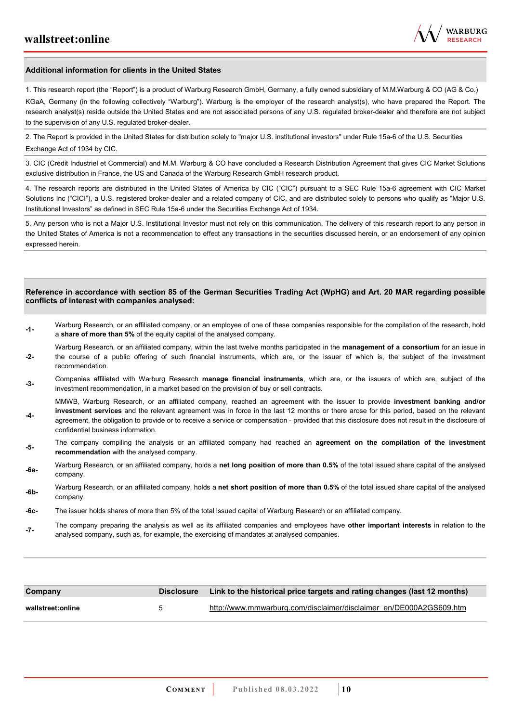

#### **Additional information for clients in the United States**

1. This research report (the "Report") is a product of Warburg Research GmbH, Germany, a fully owned subsidiary of M.M.Warburg & CO (AG & Co.)

KGaA, Germany (in the following collectively "Warburg"). Warburg is the employer of the research analyst(s), who have prepared the Report. The research analyst(s) reside outside the United States and are not associated persons of any U.S. regulated broker-dealer and therefore are not subject to the supervision of any U.S. regulated broker-dealer.

2. The Report is provided in the United States for distribution solely to "major U.S. institutional investors" under Rule 15a-6 of the U.S. Securities Exchange Act of 1934 by CIC.

3. CIC (Crédit Industriel et Commercial) and M.M. Warburg & CO have concluded a Research Distribution Agreement that gives CIC Market Solutions exclusive distribution in France, the US and Canada of the Warburg Research GmbH research product.

4. The research reports are distributed in the United States of America by CIC ("CIC") pursuant to a SEC Rule 15a-6 agreement with CIC Market Solutions Inc ("CICI"), a U.S. registered broker-dealer and a related company of CIC, and are distributed solely to persons who qualify as "Major U.S. Institutional Investors" as defined in SEC Rule 15a-6 under the Securities Exchange Act of 1934.

5. Any person who is not a Major U.S. Institutional Investor must not rely on this communication. The delivery of this research report to any person in the United States of America is not a recommendation to effect any transactions in the securities discussed herein, or an endorsement of any opinion expressed herein.

#### **Reference in accordance with section 85 of the German Securities Trading Act (WpHG) and Art. 20 MAR regarding possible conflicts of interest with companies analysed:**

- **-1-** Warburg Research, or an affiliated company, or an employee of one of these companies responsible for the compilation of the research, hold a **share of more than 5%** of the equity capital of the analysed company.
- **-2-**  Warburg Research, or an affiliated company, within the last twelve months participated in the **management of a consortium** for an issue in the course of a public offering of such financial instruments, which are, or the issuer of which is, the subject of the investment recommendation.
- **-3-** Companies affiliated with Warburg Research **manage financial instruments**, which are, or the issuers of which are, subject of the investment recommendation, in a market based on the provision of buy or sell contracts.

MMWB, Warburg Research, or an affiliated company, reached an agreement with the issuer to provide **investment banking and/or investment services** and the relevant agreement was in force in the last 12 months or there arose for this period, based on the relevant

- **-4**  agreement, the obligation to provide or to receive a service or compensation - provided that this disclosure does not result in the disclosure of confidential business information.
- **-5-** The company compiling the analysis or an affiliated company had reached an **agreement on the compilation of the investment recommendation** with the analysed company.
- **-6a-** Warburg Research, or an affiliated company, holds a **net long position of more than 0.5%** of the total issued share capital of the analysed company.
- **-6b-** Warburg Research, or an affiliated company, holds a **net short position of more than 0.5%** of the total issued share capital of the analysed company.
- **-6c-** The issuer holds shares of more than 5% of the total issued capital of Warburg Research or an affiliated company.
- **-7-** The company preparing the analysis as well as its affiliated companies and employees have **other important interests** in relation to the analysed company, such as, for example, the exercising of mandates at analysed companies.

| Company           | <b>Disclosure</b> | Link to the historical price targets and rating changes (last 12 months) |
|-------------------|-------------------|--------------------------------------------------------------------------|
| wallstreet:online |                   | http://www.mmwarburg.com/disclaimer/disclaimer_en/DE000A2GS609.htm       |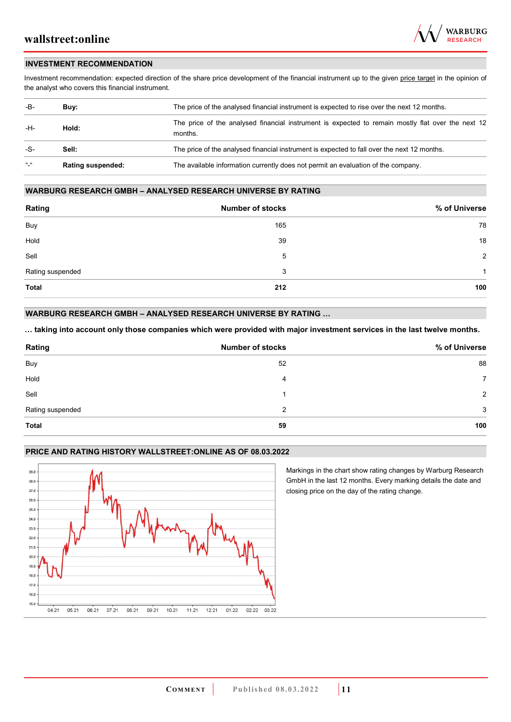

### **INVESTMENT RECOMMENDATION**

Investment recommendation: expected direction of the share price development of the financial instrument up to the given price target in the opinion of the analyst who covers this financial instrument.

| -B-           | Buy:                     | The price of the analysed financial instrument is expected to rise over the next 12 months.                  |  |  |
|---------------|--------------------------|--------------------------------------------------------------------------------------------------------------|--|--|
| -H-           | Hold:                    | The price of the analysed financial instrument is expected to remain mostly flat over the next 12<br>months. |  |  |
| -S-           | Sell:                    | The price of the analysed financial instrument is expected to fall over the next 12 months.                  |  |  |
| $\frac{1}{2}$ | <b>Rating suspended:</b> | The available information currently does not permit an evaluation of the company.                            |  |  |

#### **WARBURG RESEARCH GMBH – ANALYSED RESEARCH UNIVERSE BY RATING**

| Rating           | <b>Number of stocks</b> | % of Universe  |
|------------------|-------------------------|----------------|
| Buy              | 165                     | 78             |
| Hold             | 39                      | 18             |
| Sell             | 5                       | $\overline{2}$ |
| Rating suspended | 3                       | 1              |
| <b>Total</b>     | 212                     | 100            |

### **WARBURG RESEARCH GMBH – ANALYSED RESEARCH UNIVERSE BY RATING …**

**… taking into account only those companies which were provided with major investment services in the last twelve months.** 

| Rating           | <b>Number of stocks</b> | % of Universe  |
|------------------|-------------------------|----------------|
| Buy              | 52                      | 88             |
| Hold             | 4                       | $\overline{7}$ |
| Sell             |                         | 2              |
| Rating suspended | 2                       | 3              |
| <b>Total</b>     | 59                      | 100            |

### **PRICE AND RATING HISTORY WALLSTREET:ONLINE AS OF 08.03.2022**



Markings in the chart show rating changes by Warburg Research GmbH in the last 12 months. Every marking details the date and closing price on the day of the rating change.